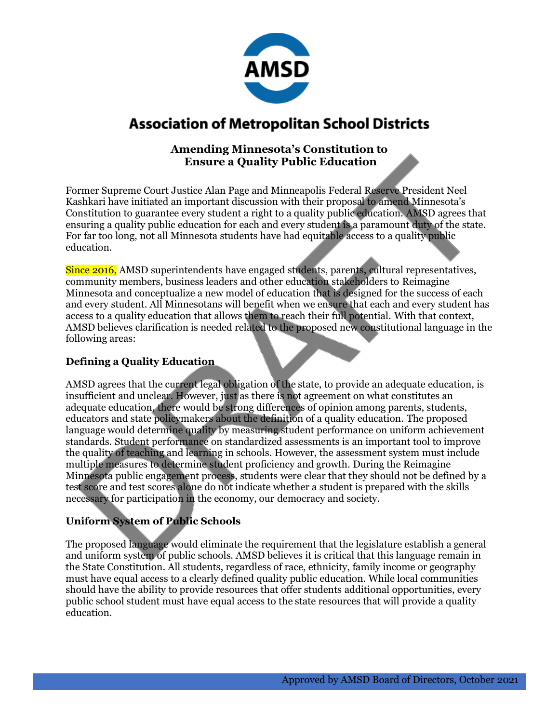

## **Association of Metropolitan School Districts**

### **Amending Minnesota's Constitution to Ensure a Quality Public Education**

Former Supreme Court Justice Alan Page and Minneapolis Federal Reserve President Neel Kashkari have initiated an important discussion with their proposal to amend Minnesota's Constitution to guarantee every student a right to a quality public education. AMSD agrees that ensuring a quality public education for each and every student is a paramount duty of the state. For far too long, not all Minnesota students have had equitable access to a quality public education.

Since 2016, AMSD superintendents have engaged students, parents, cultural representatives, community members, business leaders and other education stakeholders to Reimagine Minnesota and conceptualize a new model of education that is designed for the success of each and every student. All Minnesotans will benefit when we ensure that each and every student has access to a quality education that allows them to reach their full potential. With that context, AMSD believes clarification is needed related to the proposed new constitutional language in the following areas:

#### **Defining a Quality Education**

AMSD agrees that the current legal obligation of the state, to provide an adequate education, is insufficient and unclear. However, just as there is not agreement on what constitutes an adequate education, there would be strong differences of opinion among parents, students, educators and state policymakers about the definition of a quality education. The proposed language would determine quality by measuring student performance on uniform achievement standards. Student performance on standardized assessments is an important tool to improve the quality of teaching and learning in schools. However, the assessment system must include multiple measures to determine student proficiency and growth. During the Reimagine Minnesota public engagement process, students were clear that they should not be defined by a test score and test scores alone do not indicate whether a student is prepared with the skills necessary for participation in the economy, our democracy and society.

### **Uniform System of Public Schools**

The proposed language would eliminate the requirement that the legislature establish a general and uniform system of public schools. AMSD believes it is critical that this language remain in the State Constitution. All students, regardless of race, ethnicity, family income or geography must have equal access to a clearly defined quality public education. While local communities should have the ability to provide resources that offer students additional opportunities, every public school student must have equal access to the state resources that will provide a quality education.